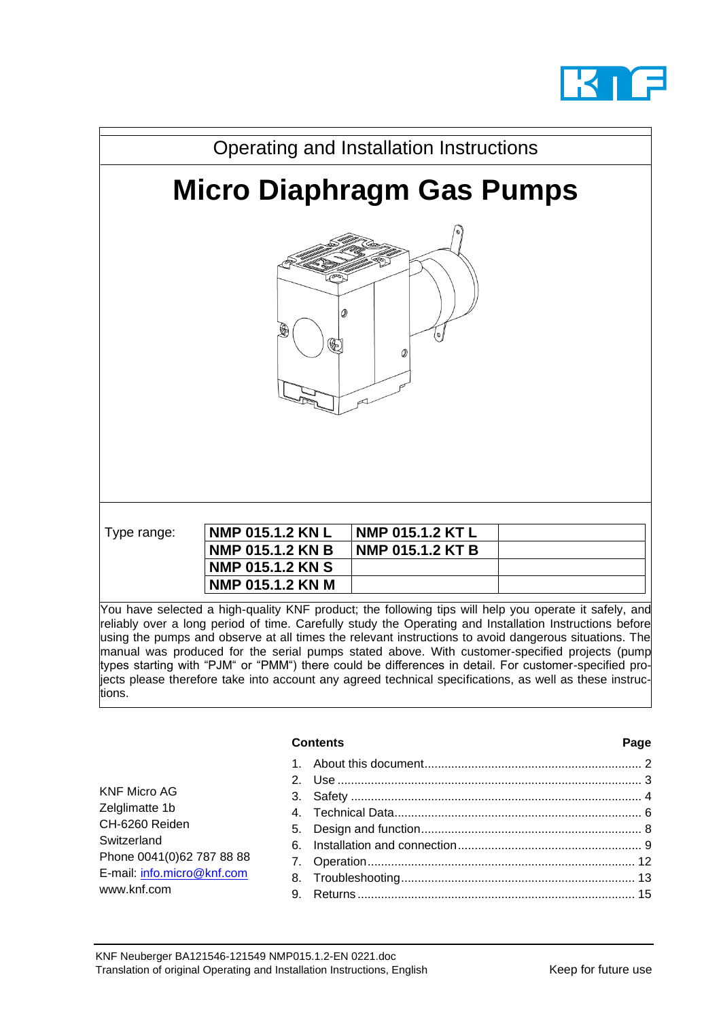



reliably over a long period of time. Carefully study the Operating and Installation Instructions before using the pumps and observe at all times the relevant instructions to avoid dangerous situations. The manual was produced for the serial pumps stated above. With customer-specified projects (pump types starting with "PJM" or "PMM") there could be differences in detail. For customer-specified projects please therefore take into account any agreed technical specifications, as well as these instructions.

|                                                                                                                                                  | <b>Contents</b> | Page |
|--------------------------------------------------------------------------------------------------------------------------------------------------|-----------------|------|
| <b>KNF Micro AG</b><br>Zelglimatte 1b<br>CH-6260 Reiden<br>Switzerland<br>Phone 0041(0)62 787 88 88<br>E-mail: info.micro@knf.com<br>www.knf.com | 9.              |      |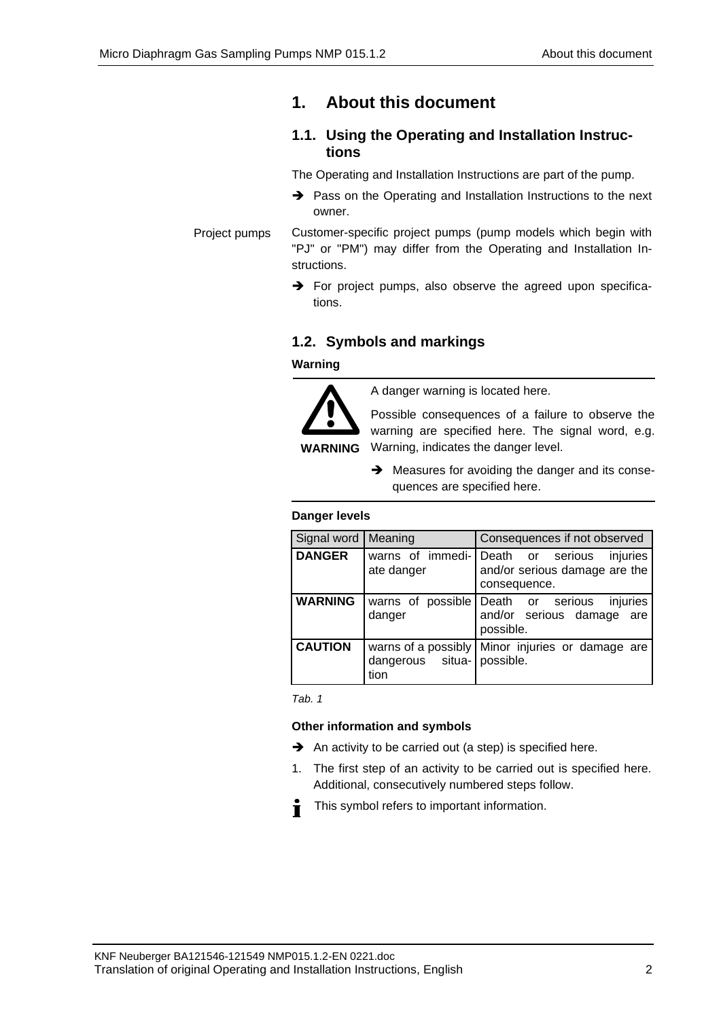# <span id="page-1-0"></span>**1. About this document**

## **1.1. Using the Operating and Installation Instructions**

The Operating and Installation Instructions are part of the pump.

➔ Pass on the Operating and Installation Instructions to the next owner.

Customer-specific project pumps (pump models which begin with "PJ" or "PM") may differ from the Operating and Installation Instructions. Project pumps

> $\rightarrow$  For project pumps, also observe the agreed upon specifications.

## **1.2. Symbols and markings**

**Warning**



A danger warning is located here.

Possible consequences of a failure to observe the warning are specified here. The signal word, e.g. Warning, indicates the danger level.

**→** Measures for avoiding the danger and its consequences are specified here.

### **Danger levels**

| Signal word   Meaning |                                    | Consequences if not observed                                                                   |
|-----------------------|------------------------------------|------------------------------------------------------------------------------------------------|
| <b>DANGER</b>         | ate danger                         | warns of immedi- Death or serious<br>injuries<br>and/or serious damage are the<br>consequence. |
| <b>WARNING</b>        | danger                             | warns of possible Death or serious<br>injuries<br>and/or serious damage are<br>possible.       |
| <b>CAUTION</b>        | dangerous situa- possible.<br>tion | warns of a possibly   Minor injuries or damage are                                             |

*Tab. 1*

### **Other information and symbols**

- ➔ An activity to be carried out (a step) is specified here.
- 1. The first step of an activity to be carried out is specified here. Additional, consecutively numbered steps follow.
- This symbol refers to important information. Ť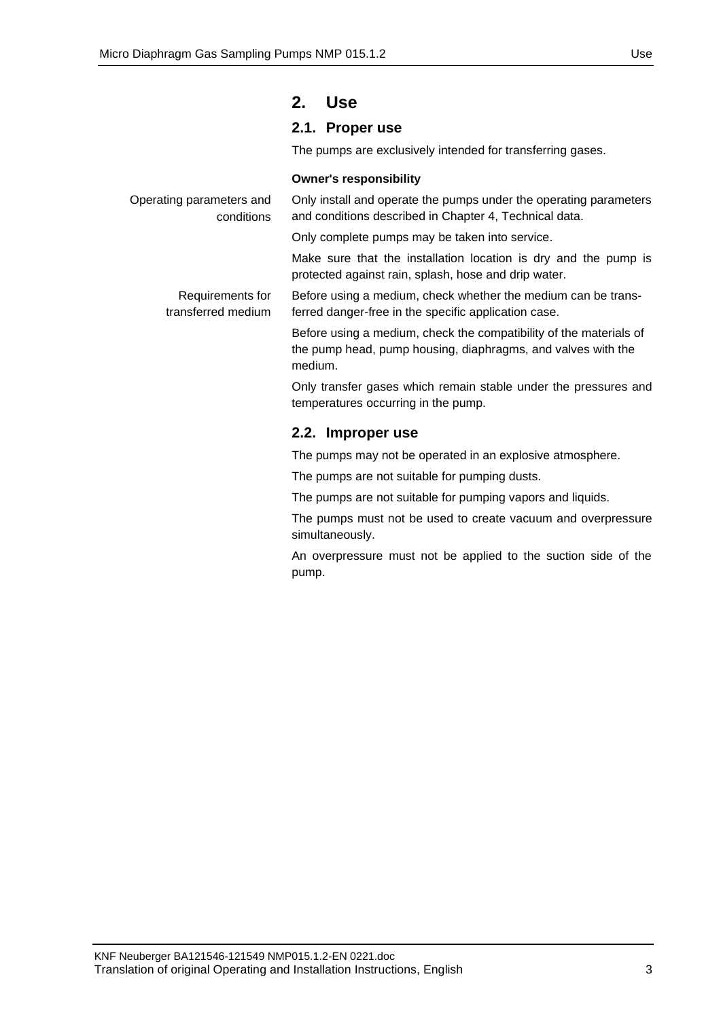## <span id="page-2-0"></span>**2. Use**

## **2.1. Proper use**

The pumps are exclusively intended for transferring gases.

### **Owner's responsibility**

| Operating parameters and<br>conditions | Only install and operate the pumps under the operating parameters<br>and conditions described in Chapter 4, Technical data.                   |
|----------------------------------------|-----------------------------------------------------------------------------------------------------------------------------------------------|
|                                        | Only complete pumps may be taken into service.                                                                                                |
|                                        | Make sure that the installation location is dry and the pump is<br>protected against rain, splash, hose and drip water.                       |
| Requirements for<br>transferred medium | Before using a medium, check whether the medium can be trans-<br>ferred danger-free in the specific application case.                         |
|                                        | Before using a medium, check the compatibility of the materials of<br>the pump head, pump housing, diaphragms, and valves with the<br>medium. |
|                                        | Only transfer gases which remain stable under the pressures and<br>temperatures occurring in the pump.                                        |
|                                        | 2.2. Improper use                                                                                                                             |
|                                        | The pumps may not be operated in an explosive atmosphere.                                                                                     |
|                                        | The pumps are not suitable for pumping dusts.                                                                                                 |

The pumps are not suitable for pumping vapors and liquids.

The pumps must not be used to create vacuum and overpressure simultaneously.

An overpressure must not be applied to the suction side of the pump.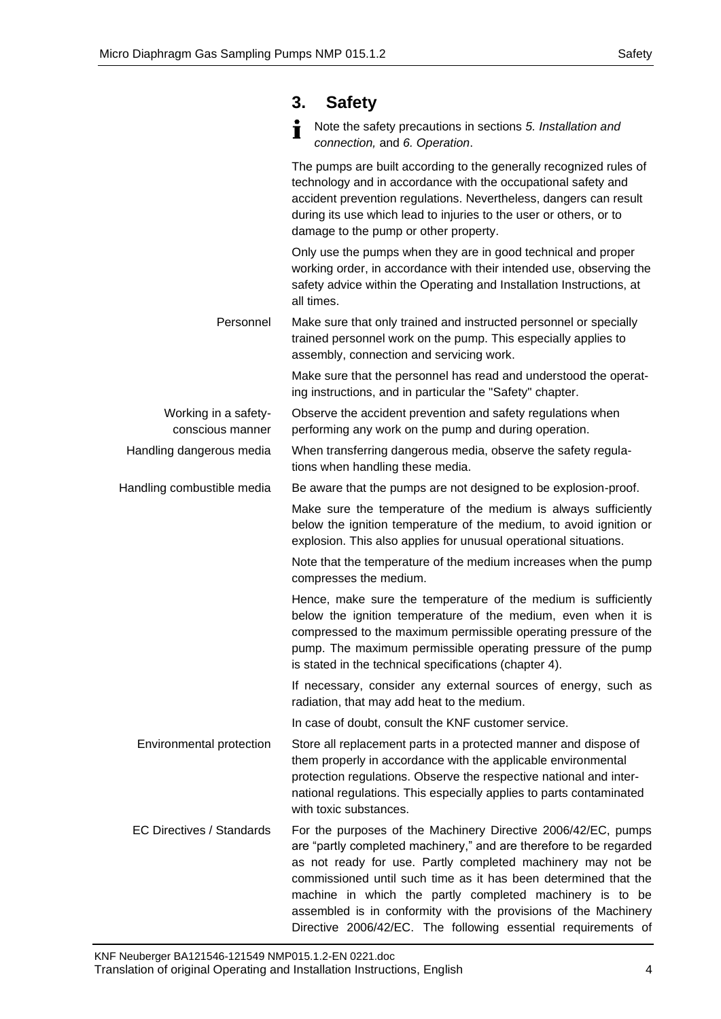# <span id="page-3-0"></span>**3. Safety**

| ÷ | Note the safety precautions in sections 5. Installation and |
|---|-------------------------------------------------------------|
|   | connection, and 6. Operation.                               |

The pumps are built according to the generally recognized rules of technology and in accordance with the occupational safety and accident prevention regulations. Nevertheless, dangers can result during its use which lead to injuries to the user or others, or to damage to the pump or other property. Only use the pumps when they are in good technical and proper working order, in accordance with their intended use, observing the safety advice within the Operating and Installation Instructions, at all times. Make sure that only trained and instructed personnel or specially trained personnel work on the pump. This especially applies to assembly, connection and servicing work. Make sure that the personnel has read and understood the operating instructions, and in particular the "Safety" chapter. Observe the accident prevention and safety regulations when performing any work on the pump and during operation. When transferring dangerous media, observe the safety regulations when handling these media. Be aware that the pumps are not designed to be explosion-proof. Make sure the temperature of the medium is always sufficiently below the ignition temperature of the medium, to avoid ignition or explosion. This also applies for unusual operational situations. Note that the temperature of the medium increases when the pump compresses the medium. Hence, make sure the temperature of the medium is sufficiently below the ignition temperature of the medium, even when it is compressed to the maximum permissible operating pressure of the pump. The maximum permissible operating pressure of the pump is stated in the technical specifications (chapter 4). If necessary, consider any external sources of energy, such as radiation, that may add heat to the medium. In case of doubt, consult the KNF customer service. Store all replacement parts in a protected manner and dispose of them properly in accordance with the applicable environmental protection regulations. Observe the respective national and international regulations. This especially applies to parts contaminated with toxic substances. For the purposes of the Machinery Directive 2006/42/EC, pumps are "partly completed machinery," and are therefore to be regarded as not ready for use. Partly completed machinery may not be commissioned until such time as it has been determined that the machine in which the partly completed machinery is to be assembled is in conformity with the provisions of the Machinery Personnel Working in a safetyconscious manner Handling dangerous media Handling combustible media Environmental protection EC Directives / Standards

Directive 2006/42/EC. The following essential requirements of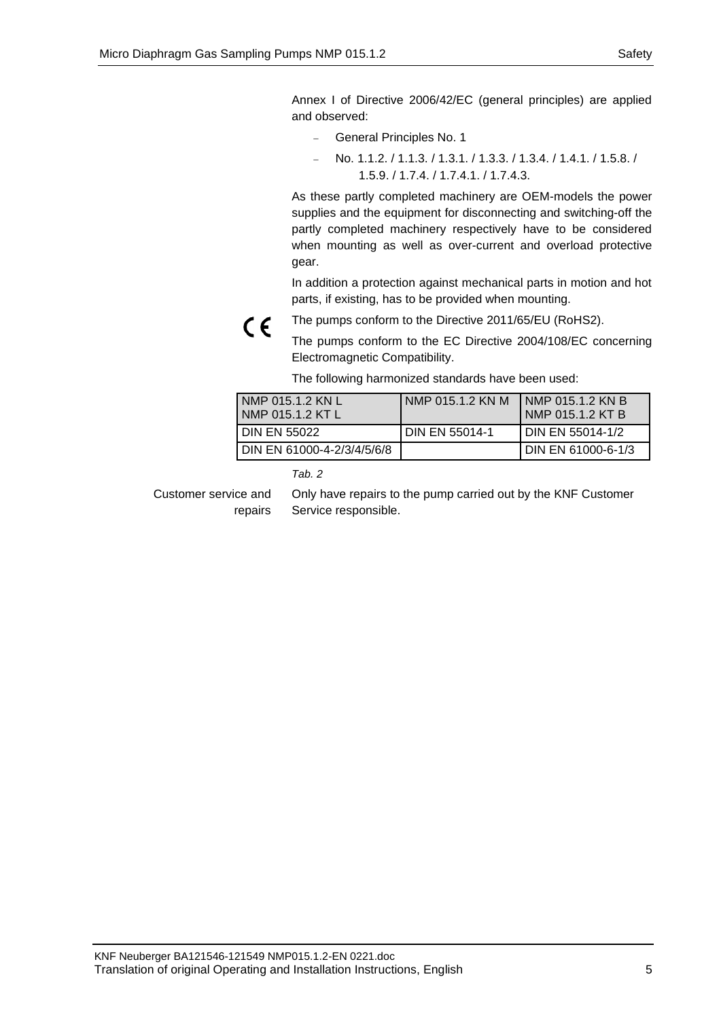Annex I of Directive 2006/42/EC (general principles) are applied and observed:

- − General Principles No. 1
- − No. 1.1.2. / 1.1.3. / 1.3.1. / 1.3.3. / 1.3.4. / 1.4.1. / 1.5.8. / 1.5.9. / 1.7.4. / 1.7.4.1. / 1.7.4.3.

As these partly completed machinery are OEM-models the power supplies and the equipment for disconnecting and switching-off the partly completed machinery respectively have to be considered when mounting as well as over-current and overload protective gear.

In addition a protection against mechanical parts in motion and hot parts, if existing, has to be provided when mounting.



The pumps conform to the EC Directive 2004/108/EC concerning Electromagnetic Compatibility.

The following harmonized standards have been used:

| NMP 015.1.2 KN L<br>NMP 015.1.2 KT L | I NMP 015.1.2 KN M | <b>INMP 015.1.2 KN B</b><br>I NMP 015.1.2 KT B |
|--------------------------------------|--------------------|------------------------------------------------|
| <b>DIN EN 55022</b>                  | I DIN EN 55014-1   | <b>I DIN EN 55014-1/2</b>                      |
| DIN EN 61000-4-2/3/4/5/6/8           |                    | I DIN EN 61000-6-1/3                           |

*Tab. 2* 

Customer service and repairs Only have repairs to the pump carried out by the KNF Customer Service responsible.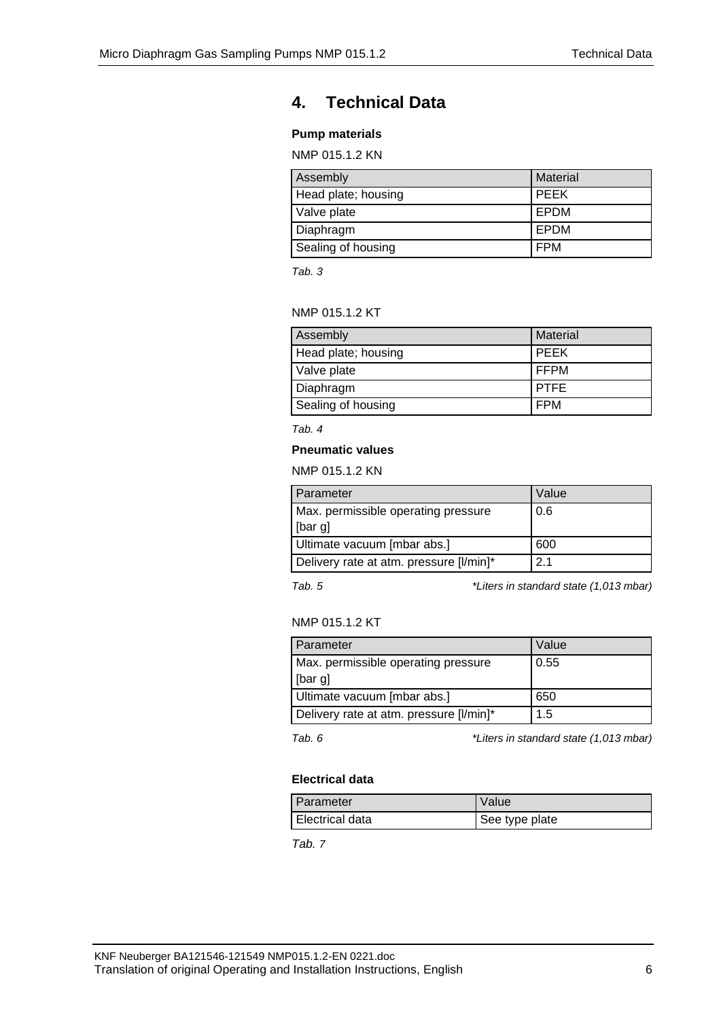# <span id="page-5-0"></span>**4. Technical Data**

## **Pump materials**

NMP 015.1.2 KN

| Assembly            | <b>Material</b> |
|---------------------|-----------------|
| Head plate; housing | l PEEK          |
| Valve plate         | <b>LEPDM</b>    |
| Diaphragm           | I EPDM          |
| Sealing of housing  | FPM             |

*Tab. 3*

## NMP 015.1.2 KT

| Assembly            | <b>Material</b> |
|---------------------|-----------------|
| Head plate; housing | PEEK            |
| Valve plate         | I FFPM          |
| Diaphragm           | <b>PTFE</b>     |
| Sealing of housing  | <b>FPM</b>      |

*Tab. 4*

### **Pneumatic values**

NMP 015.1.2 KN

| Parameter                               | Value |
|-----------------------------------------|-------|
| Max. permissible operating pressure     | 0.6   |
| [bar g]                                 |       |
| Ultimate vacuum [mbar abs.]             | 600   |
| Delivery rate at atm. pressure [I/min]* | 2.1   |

*Tab. 5 \*Liters in standard state (1,013 mbar)*

### NMP 015.1.2 KT

| Parameter                               | Value |
|-----------------------------------------|-------|
| Max. permissible operating pressure     | 0.55  |
| [bar g]                                 |       |
| Ultimate vacuum [mbar abs.]             | 650   |
| Delivery rate at atm. pressure [I/min]* | 1.5   |

*Tab. 6 \*Liters in standard state (1,013 mbar)*

### **Electrical data**

| Parameter       | Value          |
|-----------------|----------------|
| Electrical data | See type plate |

*Tab. 7*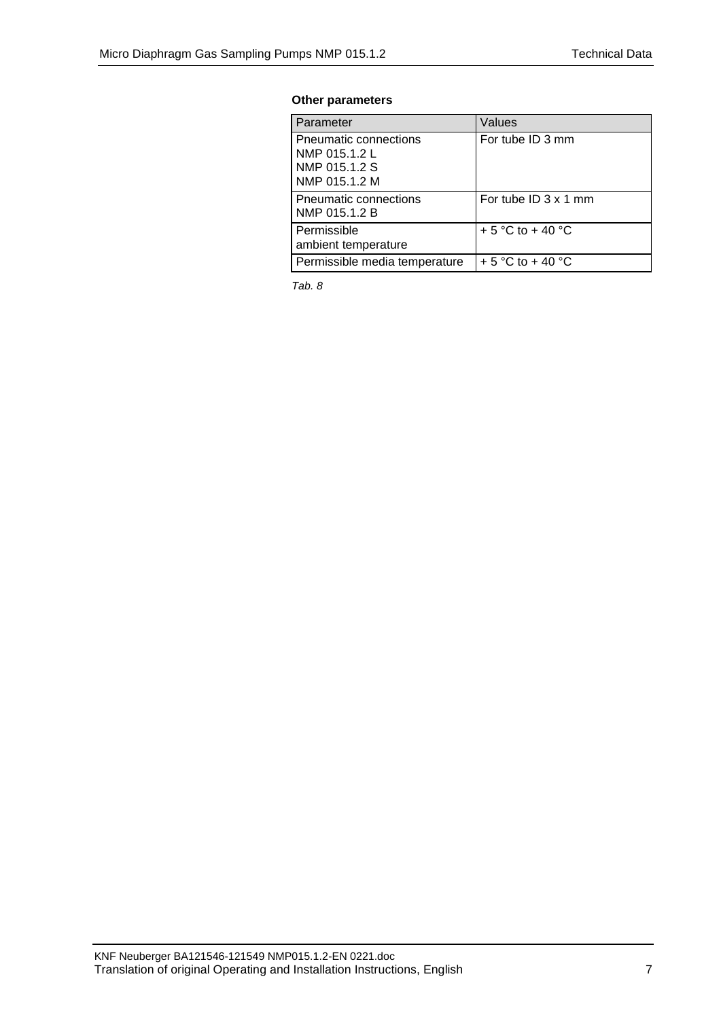## **Other parameters**

| Parameter                                                                | Values                      |
|--------------------------------------------------------------------------|-----------------------------|
| Pneumatic connections<br>NMP 015.1.2 L<br>NMP 015.1.2 S<br>NMP 015.1.2 M | For tube ID 3 mm            |
| Pneumatic connections<br>NMP 015.1.2 B                                   | For tube ID $3 \times 1$ mm |
| Permissible<br>ambient temperature                                       | + 5 °C to + 40 °C           |
| Permissible media temperature                                            | + 5 °C to + 40 °C           |

*Tab. 8*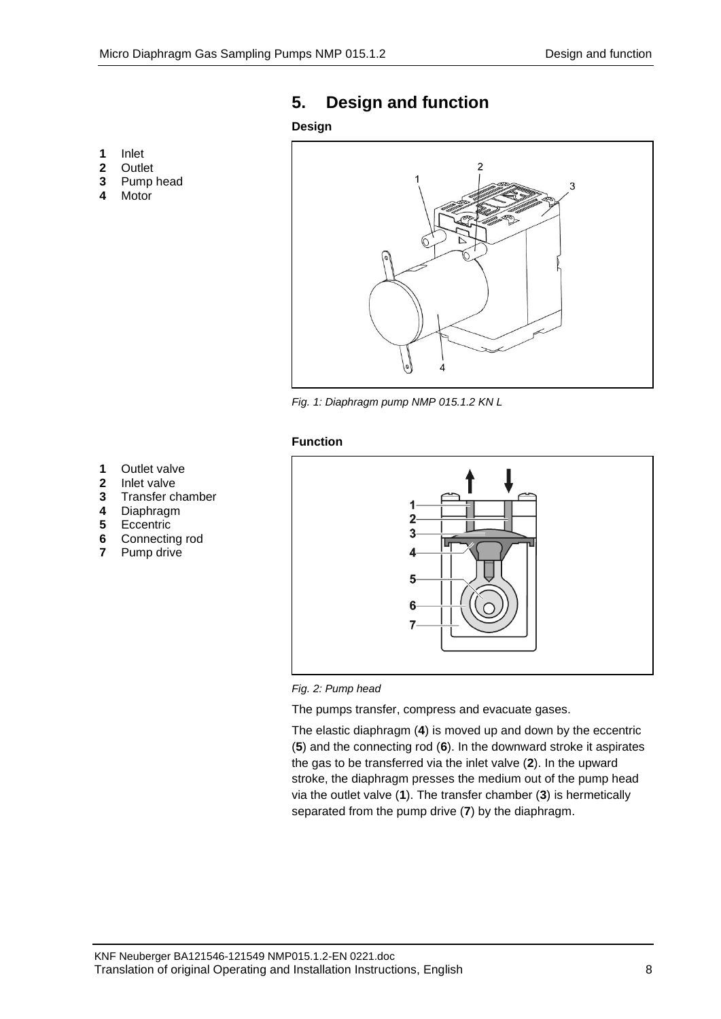### **1** Inlet

- 
- **2** Outlet
- **3** Pump head
- **4** Motor

# <span id="page-7-0"></span>**5. Design and function**

## **Design**



*Fig. 1: Diaphragm pump NMP 015.1.2 KN L*

#### **Function**

- **1** Outlet valve<br>**2** Inlet valve
- **2** Inlet valve<br>**3** Transfer c
- **3** Transfer chamber
- 
- **4** Diaphragm **5** Eccentric
- **6** Connecting rod
- **7** Pump drive





The pumps transfer, compress and evacuate gases.

The elastic diaphragm (**4**) is moved up and down by the eccentric (**5**) and the connecting rod (**6**). In the downward stroke it aspirates the gas to be transferred via the inlet valve (**2**). In the upward stroke, the diaphragm presses the medium out of the pump head via the outlet valve (**1**). The transfer chamber (**3**) is hermetically separated from the pump drive (**7**) by the diaphragm.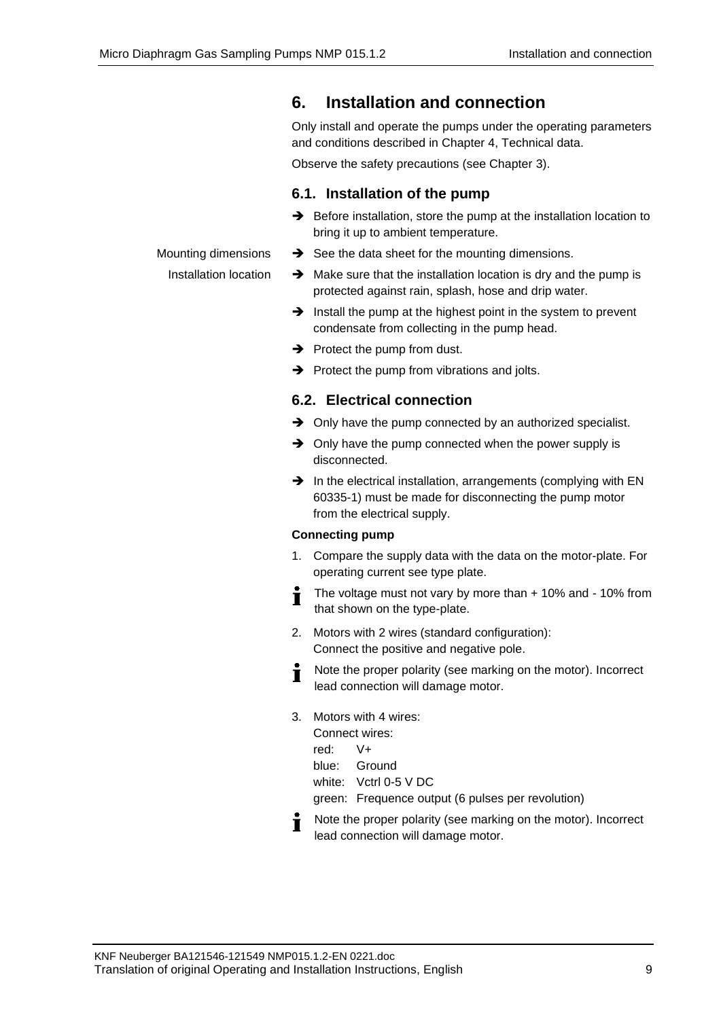Mounting dimensions Installation location

# <span id="page-8-0"></span>**6. Installation and connection**

Only install and operate the pumps under the operating parameters and conditions described in Chapter [4,](#page-5-0) Technical data.

Observe the safety precautions (see Chapter [3\)](#page-3-0).

## **6.1. Installation of the pump**

- ➔ Before installation, store the pump at the installation location to bring it up to ambient temperature.
- ➔ See the data sheet for the mounting dimensions.
- ➔ Make sure that the installation location is dry and the pump is protected against rain, splash, hose and drip water.
- ➔ Install the pump at the highest point in the system to prevent condensate from collecting in the pump head.
- $\rightarrow$  Protect the pump from dust.
- $\rightarrow$  Protect the pump from vibrations and jolts.

## **6.2. Electrical connection**

- ➔ Only have the pump connected by an authorized specialist.
- **→** Only have the pump connected when the power supply is disconnected.
- ➔ In the electrical installation, arrangements (complying with EN 60335-1) must be made for disconnecting the pump motor from the electrical supply.

## **Connecting pump**

- 1. Compare the supply data with the data on the motor-plate. For operating current see type plate.
- The voltage must not vary by more than + 10% and 10% from  $\blacksquare$ that shown on the type-plate.
- 2. Motors with 2 wires (standard configuration): Connect the positive and negative pole.
- Note the proper polarity (see marking on the motor). Incorrect Т lead connection will damage motor.
- 3. Motors with 4 wires: Connect wires: red: V+
	- blue: Ground
	- white: Vctrl 0-5 V DC

green: Frequence output (6 pulses per revolution)

Note the proper polarity (see marking on the motor). Incorrect  $\blacksquare$ lead connection will damage motor.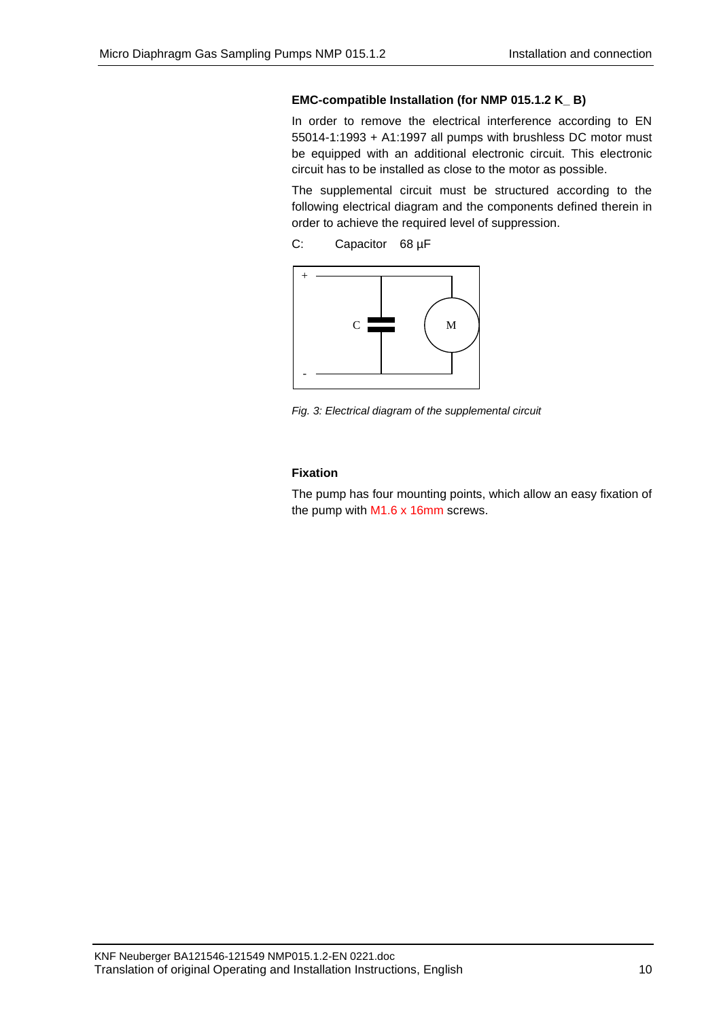### **EMC-compatible Installation (for NMP 015.1.2 K\_ B)**

In order to remove the electrical interference according to EN 55014-1:1993 + A1:1997 all pumps with brushless DC motor must be equipped with an additional electronic circuit. This electronic circuit has to be installed as close to the motor as possible.

The supplemental circuit must be structured according to the following electrical diagram and the components defined therein in order to achieve the required level of suppression.

C: Capacitor 68 µF



*Fig. 3: Electrical diagram of the supplemental circuit*

### **Fixation**

The pump has four mounting points, which allow an easy fixation of the pump with M1.6 x 16mm screws.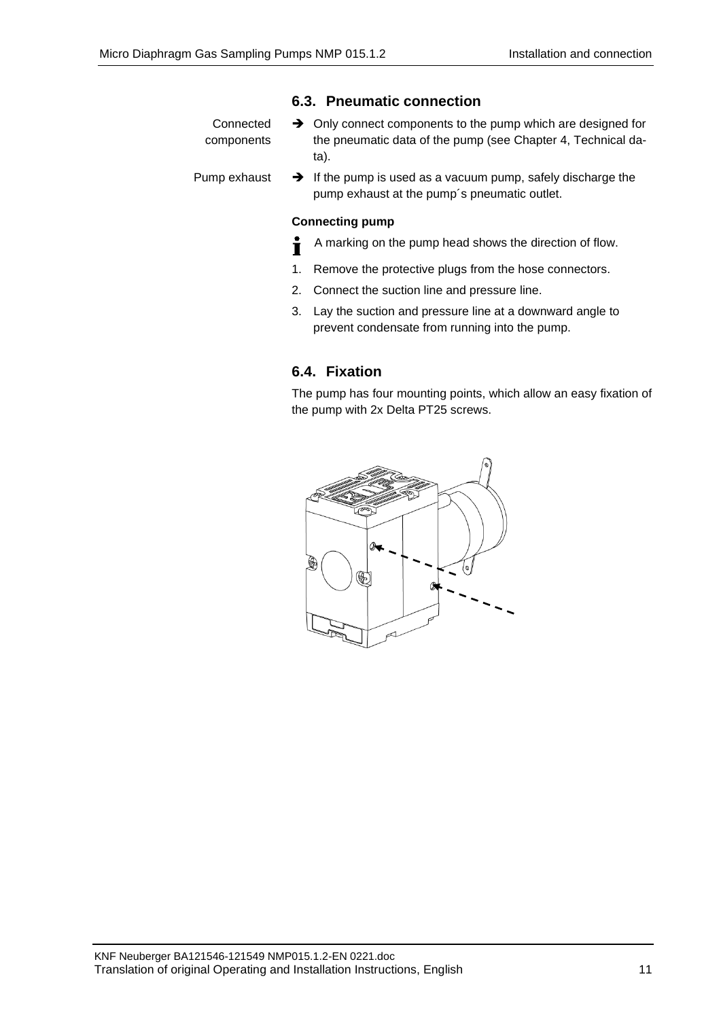## **6.3. Pneumatic connection**

| Connected<br>components | $\rightarrow$ Only connect components to the pump which are designed for<br>the pneumatic data of the pump (see Chapter 4, Technical da-<br>ta). |
|-------------------------|--------------------------------------------------------------------------------------------------------------------------------------------------|
| Pump exhaust            | $\rightarrow$ If the pump is used as a vacuum pump, safely discharge the                                                                         |

pump exhaust at the pump´s pneumatic outlet.

## **Connecting pump**

- A marking on the pump head shows the direction of flow. Ť
- 1. Remove the protective plugs from the hose connectors.
- 2. Connect the suction line and pressure line.
- 3. Lay the suction and pressure line at a downward angle to prevent condensate from running into the pump.

## **6.4. Fixation**

The pump has four mounting points, which allow an easy fixation of the pump with 2x Delta PT25 screws.

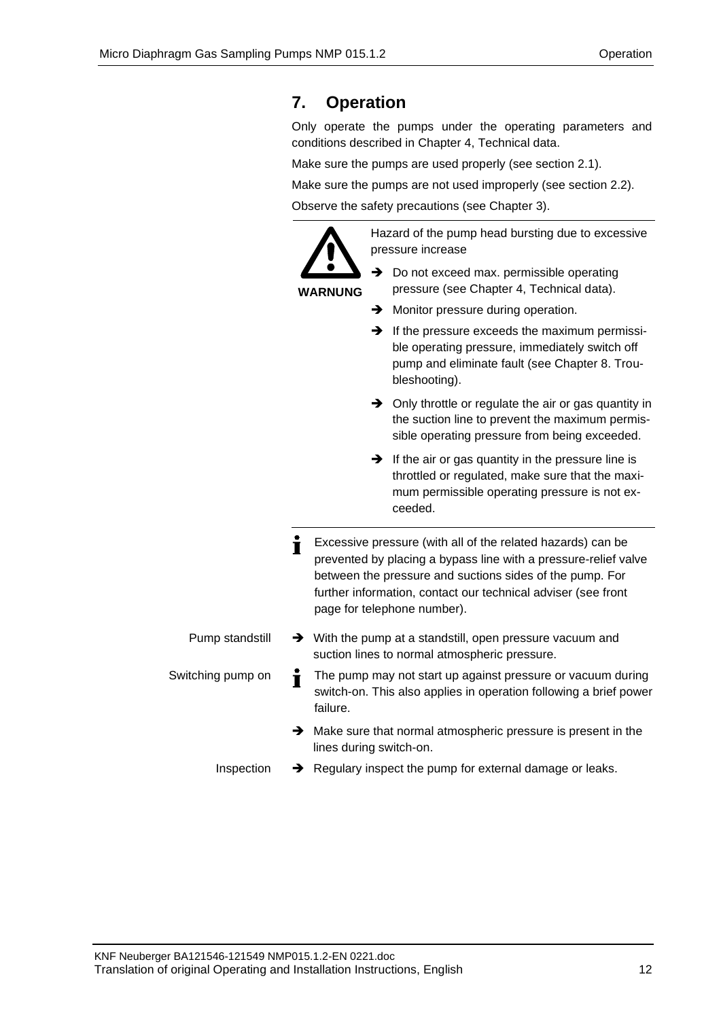# <span id="page-11-0"></span>**7. Operation**

Only operate the pumps under the operating parameters and conditions described in Chapter [4,](#page-5-0) Technical data.

Make sure the pumps are used properly (see section 2.1).

Make sure the pumps are not used improperly (see section 2.2).

Observe the safety precautions (see Chapter [3\)](#page-3-0).

**WARNUNG**

Hazard of the pump head bursting due to excessive pressure increase

- **→** Do not exceed max. permissible operating pressure (see Chapter 4, Technical data).
- **→** Monitor pressure during operation.
- $\rightarrow$  If the pressure exceeds the maximum permissible operating pressure, immediately switch off pump and eliminate fault (see Chapter 8. Troubleshooting).
- ➔ Only throttle or regulate the air or gas quantity in the suction line to prevent the maximum permissible operating pressure from being exceeded.
- $\rightarrow$  If the air or gas quantity in the pressure line is throttled or regulated, make sure that the maximum permissible operating pressure is not exceeded.
- Excessive pressure (with all of the related hazards) can be prevented by placing a bypass line with a pressure-relief valve between the pressure and suctions sides of the pump. For further information, contact our technical adviser (see front page for telephone number). ➔ With the pump at a standstill, open pressure vacuum and suction lines to normal atmospheric pressure. Pump standstill
- The pump may not start up against pressure or vacuum during Switching pump on  $\blacksquare$ switch-on. This also applies in operation following a brief power failure.
	- ➔ Make sure that normal atmospheric pressure is present in the lines during switch-on.
	- ➔ Regulary inspect the pump for external damage or leaks. Inspection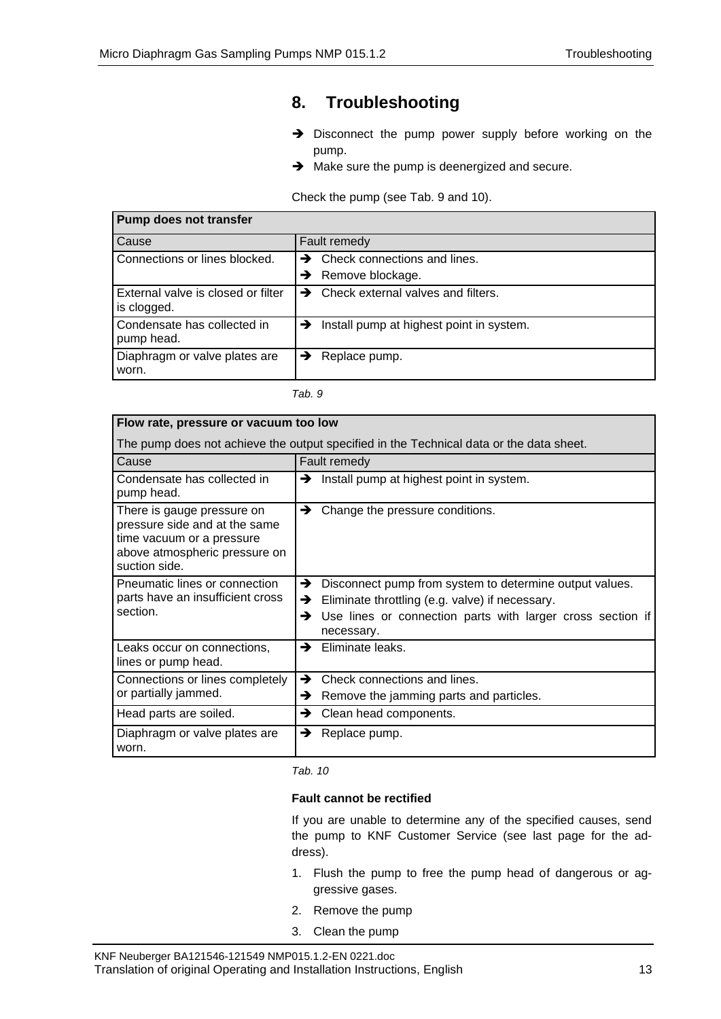# <span id="page-12-0"></span>**8. Troubleshooting**

- ➔ Disconnect the pump power supply before working on the pump.
- **→** Make sure the pump is deenergized and secure.

Check the pump (see Tab. 9 and 10).

| <b>Pump does not transfer</b>                     |                                                        |
|---------------------------------------------------|--------------------------------------------------------|
| Cause                                             | Fault remedy                                           |
| Connections or lines blocked.                     | Check connections and lines.<br>→                      |
|                                                   | Remove blockage.<br>→                                  |
| External valve is closed or filter<br>is clogged. | Check external valves and filters.<br>→                |
| Condensate has collected in<br>pump head.         | $\rightarrow$ Install pump at highest point in system. |
| Diaphragm or valve plates are<br>worn.            | Replace pump.<br>→                                     |

*Tab. 9*

| Flow rate, pressure or vacuum too low                                                                                                      |                                                                                                                                                                                                       |
|--------------------------------------------------------------------------------------------------------------------------------------------|-------------------------------------------------------------------------------------------------------------------------------------------------------------------------------------------------------|
| The pump does not achieve the output specified in the Technical data or the data sheet.                                                    |                                                                                                                                                                                                       |
| Cause                                                                                                                                      | Fault remedy                                                                                                                                                                                          |
| Condensate has collected in<br>pump head.                                                                                                  | Install pump at highest point in system.<br>→                                                                                                                                                         |
| There is gauge pressure on<br>pressure side and at the same<br>time vacuum or a pressure<br>above atmospheric pressure on<br>suction side. | →<br>Change the pressure conditions.                                                                                                                                                                  |
| Pneumatic lines or connection<br>parts have an insufficient cross<br>section.                                                              | →<br>Disconnect pump from system to determine output values.<br>Eliminate throttling (e.g. valve) if necessary.<br>→<br>Use lines or connection parts with larger cross section if<br>→<br>necessary. |
| Leaks occur on connections,<br>lines or pump head.                                                                                         | Eliminate leaks.<br>→                                                                                                                                                                                 |
| Connections or lines completely<br>or partially jammed.                                                                                    | Check connections and lines.<br>→<br>Remove the jamming parts and particles.<br>→                                                                                                                     |
| Head parts are soiled.                                                                                                                     | Clean head components.<br>→                                                                                                                                                                           |
| Diaphragm or valve plates are<br>worn.                                                                                                     | →<br>Replace pump.                                                                                                                                                                                    |

*Tab. 10*

### **Fault cannot be rectified**

If you are unable to determine any of the specified causes, send the pump to KNF Customer Service (see last page for the address).

- 1. Flush the pump to free the pump head of dangerous or aggressive gases.
- 2. Remove the pump
- 3. Clean the pump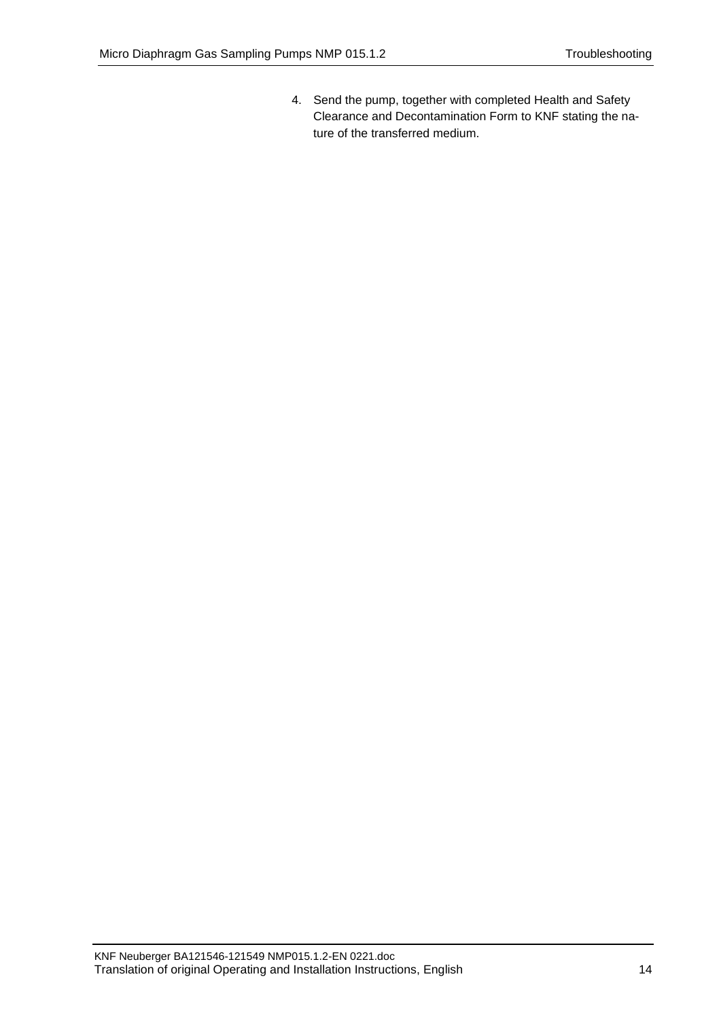4. Send the pump, together with completed Health and Safety Clearance and Decontamination Form to KNF stating the nature of the transferred medium.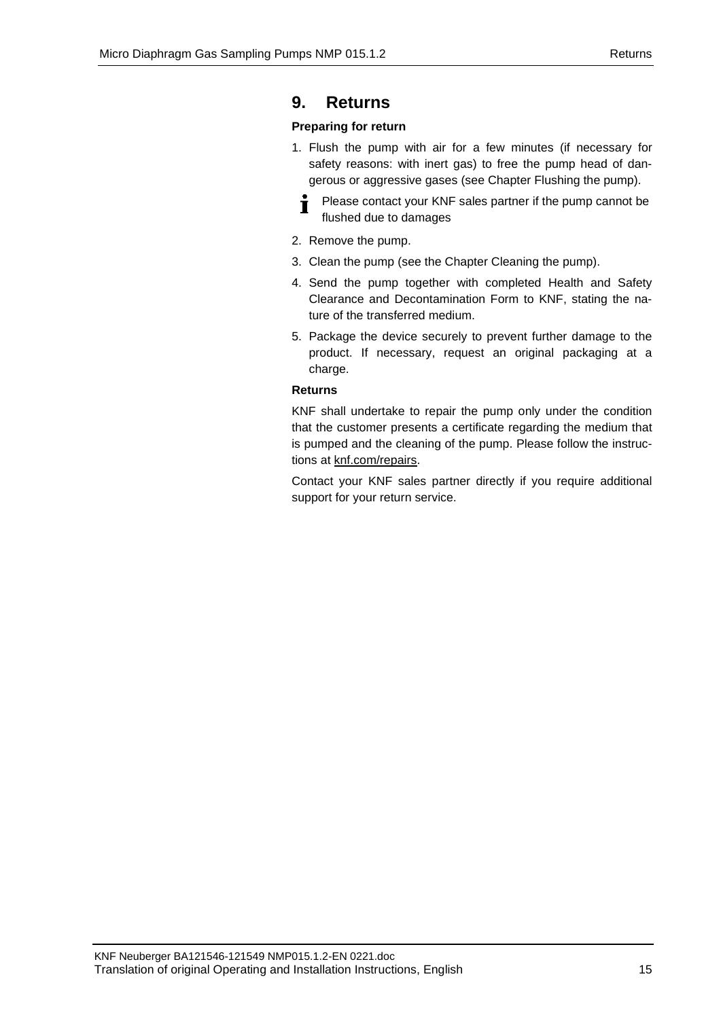## <span id="page-14-0"></span>**9. Returns**

## **Preparing for return**

1. Flush the pump with air for a few minutes (if necessary for safety reasons: with inert gas) to free the pump head of dangerous or aggressive gases (see Chapter Flushing the pump).

Please contact your KNF sales partner if the pump cannot be Ť flushed due to damages

- 2. Remove the pump.
- 3. Clean the pump (see the Chapter Cleaning the pump).
- 4. Send the pump together with completed Health and Safety Clearance and Decontamination Form to KNF, stating the nature of the transferred medium.
- 5. Package the device securely to prevent further damage to the product. If necessary, request an original packaging at a charge.

### **Returns**

KNF shall undertake to repair the pump only under the condition that the customer presents a certificate regarding the medium that is pumped and the cleaning of the pump. Please follow the instructions at knf.com/repairs.

Contact your KNF sales partner directly if you require additional support for your return service.